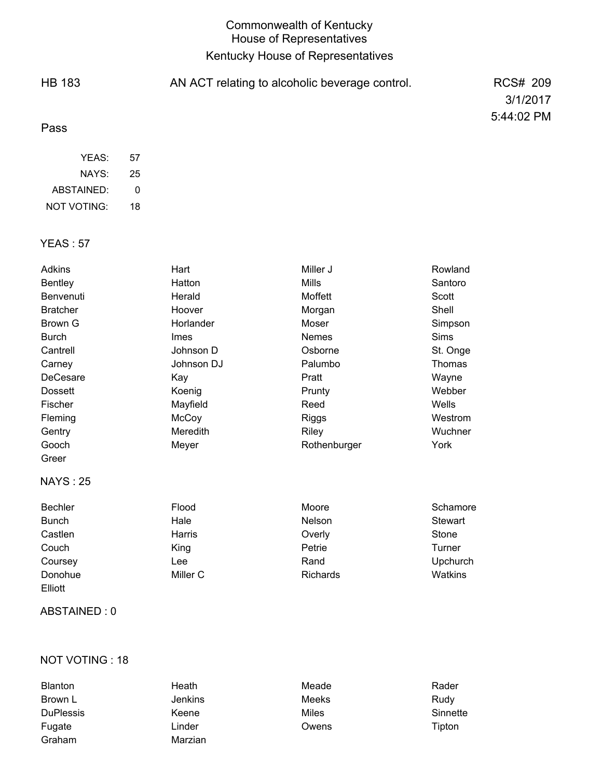# Commonwealth of Kentucky House of Representatives Kentucky House of Representatives

| <b>HB 183</b> | AN ACT relating to alcoholic beverage control. | <b>RCS# 209</b> |
|---------------|------------------------------------------------|-----------------|
|               |                                                | 3/1/2017        |
| Pass          |                                                | 5:44:02 PM      |
| YEAS:         | 57                                             |                 |

| ABSTAINED:         | O  |
|--------------------|----|
| <b>NOT VOTING:</b> | 18 |
|                    |    |

NAYS:

25

## YEAS : 57

| Adkins          | Hart        | Miller J     | Rowland         |
|-----------------|-------------|--------------|-----------------|
| <b>Bentley</b>  | Hatton      | Mills        | Santoro         |
| Benvenuti       | Herald      | Moffett      | Scott           |
| <b>Bratcher</b> | Hoover      | Morgan       | Shell           |
| Brown G         | Horlander   | Moser        | Simpson         |
| <b>Burch</b>    | <b>Imes</b> | Nemes        | Sims            |
| Cantrell        | Johnson D   | Osborne      | St. Onge        |
| Carney          | Johnson DJ  | Palumbo      | Thomas          |
| DeCesare        | Kay         | Pratt        | Wayne           |
| <b>Dossett</b>  | Koenig      | Prunty       | Webber          |
| Fischer         | Mayfield    | Reed         | Wells           |
| Fleming         | McCoy       | <b>Riggs</b> | Westrom         |
| Gentry          | Meredith    | <b>Riley</b> | Wuchner         |
| Gooch           | Meyer       | Rothenburger | York            |
| Greer           |             |              |                 |
| <b>NAYS: 25</b> |             |              |                 |
| <b>Bechler</b>  | Flood       | Moore        | Schamore        |
| <b>Bunch</b>    | Hale        | Nelson       | Stewart         |
| Castlen         | Harris      | Overly       | Stone           |
| Couch           | King        | Petrie       | Turner          |
| Coursey         | Lee         | Rand         | <b>Upchurch</b> |

### ABSTAINED : 0

Elliott

### NOT VOTING : 18

| <b>Blanton</b>   | Heath          | Meade | Rader    |
|------------------|----------------|-------|----------|
| Brown L          | <b>Jenkins</b> | Meeks | Rudy     |
| <b>DuPlessis</b> | Keene          | Miles | Sinnette |
| Fugate           | Linder         | Owens | Tipton   |
| Graham           | Marzian        |       |          |

Donohue Miller C Richards Watkins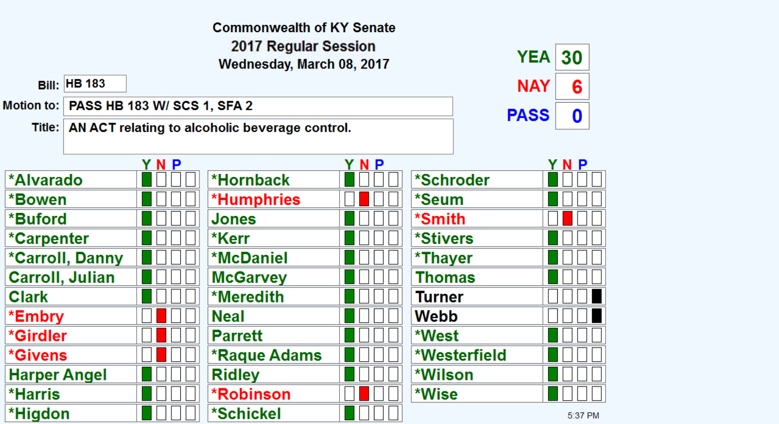|                        |                     |                                          | <b>Commonwealth of KY Senate</b>                        |     |               |             |         |
|------------------------|---------------------|------------------------------------------|---------------------------------------------------------|-----|---------------|-------------|---------|
|                        |                     |                                          | 2017 Regular Session<br>Wednesday, March 08, 2017       |     |               | YEA         | 30      |
|                        | <b>Bill: HB 183</b> |                                          |                                                         |     |               | <b>NAY</b>  | 6       |
|                        |                     | Motion to:   PASS HB 183 W/ SCS 1, SFA 2 |                                                         |     |               | <b>PASS</b> | 0       |
|                        |                     |                                          | Title:   AN ACT relating to alcoholic beverage control. |     |               |             |         |
|                        |                     |                                          |                                                         |     |               |             |         |
|                        |                     | YNP                                      |                                                         | YNP |               |             | YNP     |
| <b>*Alvarado</b>       |                     |                                          | *Hornback                                               |     | *Schroder     |             |         |
| *Bowen                 |                     |                                          | *Humphries                                              |     | *Seum         |             |         |
| *Buford                |                     |                                          | Jones                                                   |     | *Smith        |             |         |
| *Carpenter             |                     |                                          | *Kerr                                                   |     | *Stivers      |             |         |
| <b>*Carroll, Danny</b> |                     |                                          | <b>*McDaniel</b>                                        |     | *Thayer       |             |         |
| <b>Carroll, Julian</b> |                     |                                          | <b>McGarvey</b>                                         |     | <b>Thomas</b> |             |         |
| <b>Clark</b>           |                     |                                          | *Meredith                                               |     | <b>Turner</b> |             |         |
| *Embry                 |                     |                                          | <b>Neal</b>                                             |     | Webb          |             |         |
| *Girdler               |                     |                                          | <b>Parrett</b>                                          |     | *West         |             |         |
| *Givens                |                     |                                          | <b>*Raque Adams</b>                                     |     | *Westerfield  |             |         |
| <b>Harper Angel</b>    |                     |                                          | <b>Ridley</b>                                           |     | *Wilson       |             |         |
| <b>*Harris</b>         |                     |                                          | *Robinson                                               |     | *Wise         |             |         |
| *Higdon                |                     |                                          | *Schickel                                               |     |               |             | 5:37 PM |